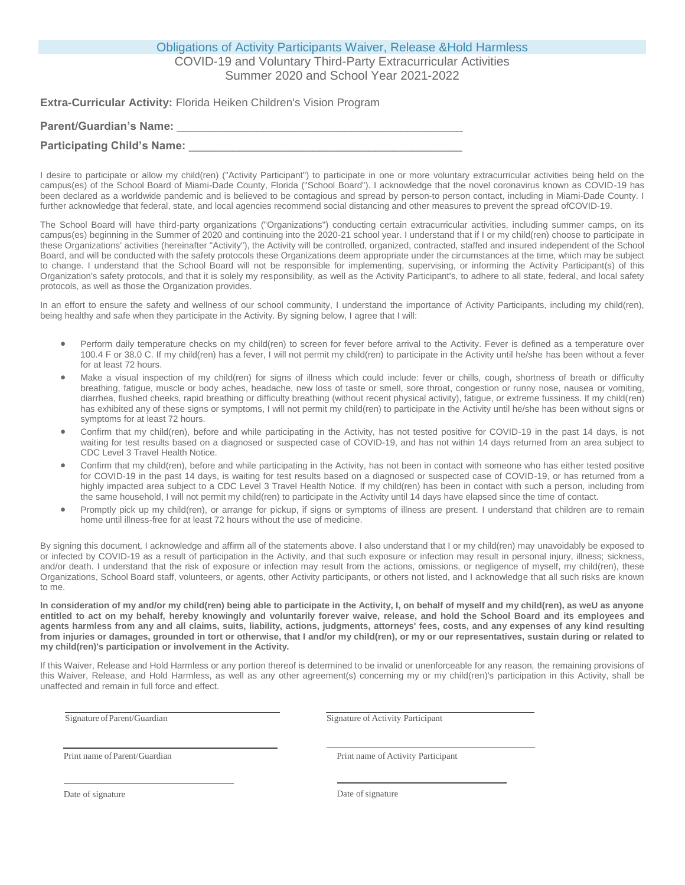## Obligations of Activity Participants Waiver, Release &Hold Harmless COVID-19 and Voluntary Third-Party Extracurricular Activities

Summer 2020 and School Year 2021-2022

**Extra-Curricular Activity:** Florida Heiken Children's Vision Program

| <b>Parent/Guardian's Name:</b>     |  |
|------------------------------------|--|
| <b>Participating Child's Name:</b> |  |

I desire to participate or allow my child(ren) ("Activity Participant") to participate in one or more voluntary extracurricular activities being held on the campus(es) of the School Board of Miami-Dade County, Florida ("School Board"). I acknowledge that the novel coronavirus known as COVID-19 has been declared as a worldwide pandemic and is believed to be contagious and spread by person-to person contact, including in Miami-Dade County. I further acknowledge that federal, state, and local agencies recommend social distancing and other measures to prevent the spread ofCOVID-19.

The School Board will have third-party organizations ("Organizations") conducting certain extracurricular activities, including summer camps, on its campus(es) beginning in the Summer of 2020 and continuing into the 2020-21 school year. I understand that if I or my child(ren) choose to participate in these Organizations' activities (hereinafter "Activity"), the Activity will be controlled, organized, contracted, staffed and insured independent of the School Board, and will be conducted with the safety protocols these Organizations deem appropriate under the circumstances at the time, which may be subject to change. I understand that the School Board will not be responsible for implementing, supervising, or informing the Activity Participant(s) of this Organization's safety protocols, and that it is solely my responsibility, as well as the Activity Participant's, to adhere to all state, federal, and local safety protocols, as well as those the Organization provides.

In an effort to ensure the safety and wellness of our school community, I understand the importance of Activity Participants, including my child(ren), being healthy and safe when they participate in the Activity. By signing below, I agree that I will:

- Perform daily temperature checks on my child(ren) to screen for fever before arrival to the Activity. Fever is defined as a temperature over 100.4 F or 38.0 C. If my child(ren) has a fever, I will not permit my child(ren) to participate in the Activity until he/she has been without a fever for at least 72 hours.
- Make a visual inspection of my child(ren) for signs of illness which could include: fever or chills, cough, shortness of breath or difficulty breathing, fatigue, muscle or body aches, headache, new loss of taste or smell, sore throat, congestion or runny nose, nausea or vomiting, diarrhea, flushed cheeks, rapid breathing or difficulty breathing (without recent physical activity), fatigue, or extreme fussiness. If my child(ren) has exhibited any of these signs or symptoms, I will not permit my child(ren) to participate in the Activity until he/she has been without signs or symptoms for at least 72 hours.
- Confirm that my child(ren), before and while participating in the Activity, has not tested positive for COVID-19 in the past 14 days, is not waiting for test results based on a diagnosed or suspected case of COVID-19, and has not within 14 days returned from an area subject to CDC Level 3 Travel Health Notice.
- Confirm that my child(ren), before and while participating in the Activity, has not been in contact with someone who has either tested positive for COVID-19 in the past 14 days, is waiting for test results based on a diagnosed or suspected case of COVID-19, or has returned from a highly impacted area subject to a CDC Level 3 Travel Health Notice. If my child(ren) has been in contact with such a person, including from the same household, I will not permit my child(ren) to participate in the Activity until 14 days have elapsed since the time of contact.
- Promptly pick up my child(ren), or arrange for pickup, if signs or symptoms of illness are present. I understand that children are to remain home until illness-free for at least 72 hours without the use of medicine.

By signing this document, I acknowledge and affirm all of the statements above. I also understand that I or my child(ren) may unavoidably be exposed to or infected by COVID-19 as a result of participation in the Activity, and that such exposure or infection may result in personal injury, illness; sickness, and/or death. I understand that the risk of exposure or infection may result from the actions, omissions, or negligence of myself, my child(ren), these Organizations, School Board staff, volunteers, or agents, other Activity participants, or others not listed, and I acknowledge that all such risks are known to me.

**In consideration of my and/or my child(ren) being able to participate in the Activity, I, on behalf of myself and my child(ren), as weU as anyone entitled to act on my behalf, hereby knowingly and voluntarily forever waive, release, and hold the School Board and its employees and agents harmless from any and all claims, suits, liability, actions, judgments, attorneys' fees, costs, and any expenses of any kind resulting from injuries or damages, grounded in tort or otherwise, that I and/or my child(ren), or my or our representatives, sustain during or related to my child(ren)'s participation or involvement in the Activity.**

If this Waiver, Release and Hold Harmless or any portion thereof is determined to be invalid or unenforceable for any reason, the remaining provisions of this Waiver, Release, and Hold Harmless, as well as any other agreement(s) concerning my or my child(ren)'s participation in this Activity, shall be unaffected and remain in full force and effect.

Signature of Parent/Guardian Signature of Activity Participant

Print name of Parent/Guardian

Print name of Activity Participant

Date of signature

Date of signature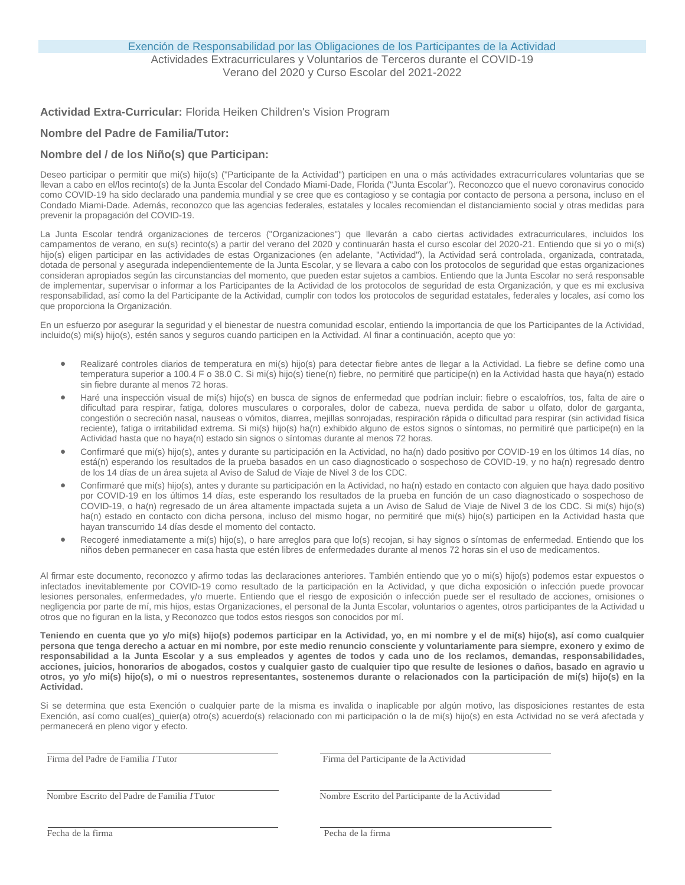### **Actividad Extra-Curricular:** Florida Heiken Children's Vision Program

### **Nombre del Padre de Familia/Tutor:**

## **Nombre del / de los Niño(s) que Participan:**

Deseo participar o permitir que mi(s) hijo(s) ("Participante de la Actividad") participen en una o más actividades extracurriculares voluntarias que se llevan a cabo en el/los recinto(s) de la Junta Escolar del Condado Miami-Dade, Florida ("Junta Escolar"). Reconozco que el nuevo coronavirus conocido como COVID-19 ha sido declarado una pandemia mundial y se cree que es contagioso y se contagia por contacto de persona a persona, incluso en el Condado Miami-Dade. Además, reconozco que las agencias federales, estatales y locales recomiendan el distanciamiento social y otras medidas para prevenir la propagación del COVID-19.

La Junta Escolar tendrá organizaciones de terceros ("Organizaciones") que llevarán a cabo ciertas actividades extracurriculares, incluidos los campamentos de verano, en su(s) recinto(s) a partir del verano del 2020 y continuarán hasta el curso escolar del 2020-21. Entiendo que si yo o mi(s) hijo(s) eligen participar en las actividades de estas Organizaciones (en adelante, "Actividad"), la Actividad será controlada, organizada, contratada, dotada de personal y asegurada independientemente de la Junta Escolar, y se llevara a cabo con los protocolos de seguridad que estas organizaciones consideran apropiados según las circunstancias del momento, que pueden estar sujetos a cambios. Entiendo que la Junta Escolar no será responsable de implementar, supervisar o informar a los Participantes de la Actividad de los protocolos de seguridad de esta Organización, y que es mi exclusiva responsabilidad, así como la del Participante de la Actividad, cumplir con todos los protocolos de seguridad estatales, federales y locales, así como los que proporciona la Organización.

En un esfuerzo por asegurar la seguridad y el bienestar de nuestra comunidad escolar, entiendo la importancia de que los Participantes de la Actividad, incluido(s) mi(s) hijo(s), estén sanos y seguros cuando participen en la Actividad. Al finar a continuación, acepto que yo:

- Realizaré controles diarios de temperatura en mi(s) hijo(s) para detectar fiebre antes de llegar a la Actividad. La fiebre se define como una temperatura superior a 100.4 F o 38.0 C. Si mi(s) hijo(s) tiene(n) fiebre, no permitiré que participe(n) en la Actividad hasta que haya(n) estado sin fiebre durante al menos 72 horas.
- Haré una inspección visual de mi(s) hijo(s) en busca de signos de enfermedad que podrían incluir: fiebre o escalofríos, tos, falta de aire o dificultad para respirar, fatiga, dolores musculares o corporales, dolor de cabeza, nueva perdida de sabor u olfato, dolor de garganta, congestión o secreción nasal, nauseas o vómitos, diarrea, mejillas sonrojadas, respiración rápida o dificultad para respirar (sin actividad física reciente), fatiga o irritabilidad extrema. Si mi(s) hijo(s) ha(n) exhibido alguno de estos signos o síntomas, no permitiré que participe(n) en la Actividad hasta que no haya(n) estado sin signos o síntomas durante al menos 72 horas.
- Confirmaré que mi(s) hijo(s), antes y durante su participación en la Actividad, no ha(n) dado positivo por COVID-19 en los últimos 14 días, no está(n) esperando los resultados de la prueba basados en un caso diagnosticado o sospechoso de COVID-19, y no ha(n) regresado dentro de los 14 días de un área sujeta al Aviso de Salud de Viaje de Nivel 3 de los CDC.
- Confirmaré que mi(s) hijo(s), antes y durante su participación en la Actividad, no ha(n) estado en contacto con alguien que haya dado positivo por COVID-19 en los últimos 14 días, este esperando los resultados de la prueba en función de un caso diagnosticado o sospechoso de COVID-19, o ha(n) regresado de un área altamente impactada sujeta a un Aviso de Salud de Viaje de Nivel 3 de los CDC. Si mi(s) hijo(s) ha(n) estado en contacto con dicha persona, incluso del mismo hogar, no permitiré que mi(s) hijo(s) participen en la Actividad hasta que hayan transcurrido 14 días desde el momento del contacto.
- Recogeré inmediatamente a mi(s) hijo(s), o hare arreglos para que lo(s) recojan, si hay signos o síntomas de enfermedad. Entiendo que los niños deben permanecer en casa hasta que estén libres de enfermedades durante al menos 72 horas sin el uso de medicamentos.

Al firmar este documento, reconozco y afirmo todas las declaraciones anteriores. También entiendo que yo o mi(s) hijo(s) podemos estar expuestos o infectados inevitablemente por COVID-19 como resultado de la participación en la Actividad, y que dicha exposición o infección puede provocar lesiones personales, enfermedades, y/o muerte. Entiendo que el riesgo de exposición o infección puede ser el resultado de acciones, omisiones o negligencia por parte de mí, mis hijos, estas Organizaciones, el personal de la Junta Escolar, voluntarios o agentes, otros participantes de la Actividad u otros que no figuran en la lista, y Reconozco que todos estos riesgos son conocidos por mí.

**Teniendo en cuenta que yo y/o mi(s) hijo(s) podemos participar en la Actividad, yo, en mi nombre y el de mi(s) hijo(s), así como cualquier persona que tenga derecho a actuar en mi nombre, por este medio renuncio consciente y voluntariamente para siempre, exonero y eximo de responsabilidad a la Junta Escolar y a sus empleados y agentes de todos y cada uno de los reclamos, demandas, responsabilidades, acciones, juicios, honorarios de abogados, costos y cualquier gasto de cualquier tipo que resulte de lesiones o daños, basado en agravio u otros, yo y/o mi(s) hijo(s), o mi o nuestros representantes, sostenemos durante o relacionados con la participación de mi(s) hijo(s) en la Actividad.**

Si se determina que esta Exención o cualquier parte de la misma es invalida o inaplicable por algún motivo, las disposiciones restantes de esta Exención, así como cual(es) quier(a) otro(s) acuerdo(s) relacionado con mi participación o la de mi(s) hijo(s) en esta Actividad no se verá afectada y permanecerá en pleno vigor y efecto.

Firma del Padre de Familia *I* Tutor Firma del Participante de la Actividad

Nombre Escrito del Padre de Familia *I*Tutor Nombre Escrito del Participante de la Actividad

Fecha de la firma Pecha de la firma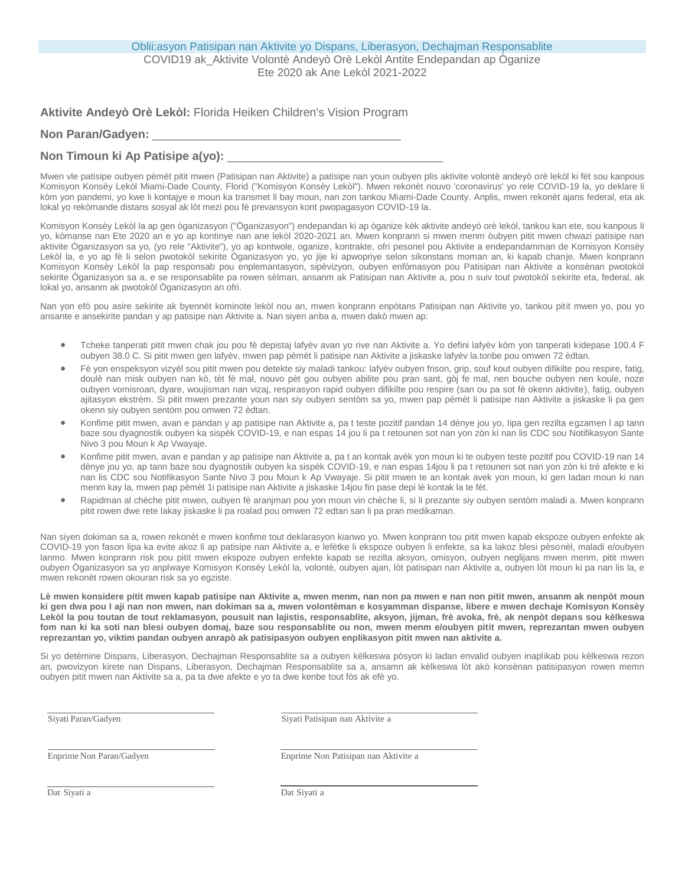**Aktivite Andeyò Orè Lekòl:** Florida Heiken Children's Vision Program

## Non Paran/Gadyen:

# Non Timoun ki Ap Patisipe a(vo):

Mwen vle patisipe oubyen pèmèt pitit mwen (Patisipan nan Aktivite) a patisipe nan youn oubyen plis aktivite volontè andeyò orè lekòl ki fèt sou kanpous Komisyon Konsèy Lekòl Miami-Dade County, Florid ("Komisyon Konsèy Lekòl"). Mwen rekonèt nouvo 'coronavirus' yo rele COVID-19 la, yo deklare li kòm yon pandemi, yo kwe li kontajye e moun ka transmet li bay moun, nan zon tankou Miami-Dade County. Anplis, mwen rekonèt ajans federal, eta ak lokal yo rekòmande distans sosyal ak lòt mezi pou fè prevansyon kont pwopagasyon COVID-19 la.

Komisyon Konsèy Lekòl la ap gen òganizasyon ("Òganizasyon") endepandan ki ap òganize kèk aktivite andeyò orè lekòl, tankou kan ete, sou kanpous Ii yo, kòmanse nan Ete 2020 an e yo ap kontinye nan ane lekòl 2020-2021 an. Mwen konprann si mwen menm òubyen pitit mwen chwazi patisipe nan aktivite Òganizasyon sa yo, (yo rele "Aktivite"), yo ap kontwole, oganize, kontrakte, ofri pesonel pou Aktivite a endepandamman de Kornisyon Konsèy Lekòl la, e yo ap fè li selon pwotokòl sekirite Òganizasyon yo, yo jije ki apwopriye selon sikonstans moman an, ki kapab chanje. Mwen konprann Komisyon Konsèy Lekòl la pap responsab pou enplemantasyon, sipèvizyon, oubyen enfòmasyon pou Patisipan nan Aktivite a konsènan pwotokòl sekirite Òganizasyon sa a, e se responsablite pa rowen sèlman, ansanm ak Patisipan nan Aktivite a, pou n suiv tout pwotokòl sekirite eta, federal, ak lokal yo, ansanm ak pwotokòl Òganizasyon an ofri.

Nan yon efò pou asire sekirite ak byennèt kominote lekòl nou an, mwen konprann enpòtans Patisipan nan Aktivite yo, tankou pitit mwen yo, pou yo ansante e ansekirite pandan y ap patisipe nan Aktivite a. Nan siyen anba a, mwen dakò mwen ap:

- Tcheke tanperati pitit mwen chak jou pou fè depistaj lafyèv avan yo rive nan Aktivite a. Yo defini lafyèv kòm yon tanperati kidepase 100.4 F oubyen 38.0 C. Si pitit mwen gen lafyèv, mwen pap pèmèt li patisipe nan Aktivite a jiskaske lafyèv la.tonbe pou omwen 72 èdtan.
- Fè yon enspeksyon vizyèl sou pitit mwen pou detekte siy maladi tankou: lafyèv oubyen frison, grip, souf kout oubyen difikilte pou respire, fatig, doulè nan rnisk oubyen nan kò, tèt fè mal, nouvo pèt gou oubyen abilite pou pran sant, gòj fe mal, nen bouche oubyen nen koule, noze oubyen vomisroan, dyare, woujisman nan vizaj, respirasyon rapid oubyen difikilte pou respire (san ou pa sot fè okenn aktivite), fatig, oubyen ajitasyon ekstrèm. Si pitit mwen prezante youn nan siy oubyen sentòm sa yo, mwen pap pèmèt li patisipe nan Aktivite a jiskaske li pa gen okenn siy oubyen sentòm pou omwen 72 èdtan.
- Konfime pitit mwen, avan e pandan y ap patisipe nan Aktivite a, pa t teste pozitif pandan 14 dènye jou yo, Iipa gen rezilta egzamen l ap tann baze sou dyagnostik oubyen ka sispèk COVID-19, e nan espas 14 jou li pa t retounen sot nan yon zòn ki nan lis CDC sou Notifikasyon Sante Nivo 3 pou Moun k Ap Vwayaje.
- Konfime pitit mwen, avan e pandan y ap patisipe nan Aktivite a, pa t an kontak avèk yon moun ki te oubyen teste pozitif pou COVID-19 nan 14 dènye jou yo, ap tann baze sou dyagnostik oubyen ka sispèk COVID-19, e nan espas 14jou li pa t retounen sot nan yon zòn ki trè afekte e ki nan lis CDC sou Notifikasyon Sante Nivo 3 pou Moun k Ap Vwayaje. Si pitit mwen te an kontak avek yon moun, ki gen ladan moun ki nan menm kay la, mwen pap pèmèt 1i patisipe nan Aktivite a jiskaske 14jou fin pase depi lè kontak la te fèt.
- Rapidman al chèche pitit mwen, oubyen fè aranjman pou yon moun vin chèche li, si li prezante siy oubyen sentòm maladi a. Mwen konprann pitit rowen dwe rete lakay jiskaske li pa roalad pou omwen 72 edtan san li pa pran medikaman.

Nan siyen dokiman sa a, rowen rekonèt e mwen konfime tout deklarasyon kianwo yo. Mwen konprann tou pitit mwen kapab ekspoze oubyen enfekte ak COVID-19 yon fason lipa ka evite akoz li ap patisipe nan Aktivite a, e lefètke li ekspoze oubyen li enfekte, sa ka lakoz blesi pèsonèl, maladi e/oubyen lanmo. Mwen konprann risk pou pitit mwen ekspoze oubyen enfekte kapab se rezilta aksyon, omisyon, oubyen neglijans mwen menm, pitit mwen oubyen Òganizasyon sa yo anplwaye Komisyon Konsèy Lekòl la, volontè, oubyen ajan, lòt patisipan nan Aktivite a, oubyen lòt moun ki pa nan lis la, e mwen rekonèt rowen okouran risk sa yo egziste.

**Lè mwen konsidere pitit mwen kapab patisipe nan Aktivite a, mwen menm, nan non pa mwen e nan non pitit mwen, ansanm ak nenpòt moun ki gen dwa pou I aji nan non mwen, nan dokiman sa a, mwen volontèman e kosyamman dispanse, libere e mwen dechaje Komisyon Konsèy Lekòl la pou toutan de tout reklamasyon, pousuit nan lajistis, responsablite, aksyon, jijman, frè avoka, frè, ak nenpòt depans sou kèlkeswa fom nan ki ka soti nan blesi oubyen domaj, baze sou responsablite ou non, mwen menm e/oubyen pitit mwen, reprezantan mwen oubyen reprezantan yo, viktim pandan oubyen anrapò ak patisipasyon oubyen enplikasyon pitit mwen nan aktivite a.**

Si yo detèmine Dispans, Liberasyon, Dechajman Responsablite sa a oubyen kèlkeswa pòsyon ki ladan envalid oubyen inaplikab pou kèlkeswa rezon an, pwovizyon kirete nan Dispans, Liberasyon, Dechajman Responsablite sa a, ansamn ak kèlkeswa lòt akò konsènan patisipasyon rowen memn oubyen pitit mwen nan Aktivite sa a, pa ta dwe afekte e yo ta dwe kenbe tout fòs ak efè yo.

Siyati Paran/Gadyen Siyati Patisipan nan Aktivite a

Enprime Non Paran/Gadyen Enprime Non Patisipan nan Aktivite a

Dat Siyati a Dat Siyati a